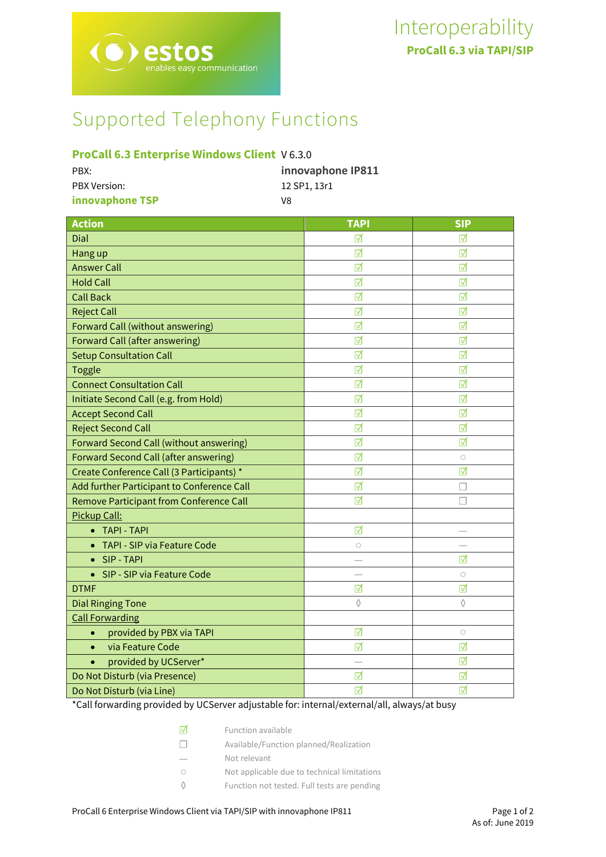# Supported Telephony Functions

# **ProCall 6.3 Enterprise Windows Client** V 6.3.0

| PBX:                | innovaphone IP811 |
|---------------------|-------------------|
| <b>PBX Version:</b> | 12 SP1. 13r1      |
| innovaphone TSP     | V8                |

| <b>Action</b>                                | <b>TAPI</b> | <b>SIP</b> |
|----------------------------------------------|-------------|------------|
| Dial                                         | ⊓           | ⊽          |
| Hang up                                      | ☑           | ⊽          |
| <b>Answer Call</b>                           | ⊺√          | ⊽          |
| <b>Hold Call</b>                             | ☑           | ☑          |
| <b>Call Back</b>                             | ☑           | ☑          |
| <b>Reject Call</b>                           | ☑           | ☑          |
| Forward Call (without answering)             | ☑           | ☑          |
| Forward Call (after answering)               | ☑           | ☑          |
| <b>Setup Consultation Call</b>               | ☑           | ☑          |
| <b>Toggle</b>                                | ☑           | ☑          |
| <b>Connect Consultation Call</b>             | ☑           | ☑          |
| Initiate Second Call (e.g. from Hold)        | ☑           | ☑          |
| <b>Accept Second Call</b>                    | ☑           | ☑          |
| <b>Reject Second Call</b>                    | ☑           | ☑          |
| Forward Second Call (without answering)      | ☑           | ☑          |
| <b>Forward Second Call (after answering)</b> | ☑           | $\bigcirc$ |
| Create Conference Call (3 Participants) *    | ☑           | ☑          |
| Add further Participant to Conference Call   | ☑           | L          |
| Remove Participant from Conference Call      | ☑           | г          |
| Pickup Call:                                 |             |            |
| <b>TAPI - TAPI</b>                           | ☑           |            |
| TAPI - SIP via Feature Code                  | $\circ$     |            |
| SIP - TAPI<br>$\bullet$                      |             | ⊽          |
| SIP - SIP via Feature Code<br>$\bullet$      |             | $\bigcirc$ |
| <b>DTMF</b>                                  | ☑           | ☑          |
| <b>Dial Ringing Tone</b>                     | $\Diamond$  | ♦          |
| <b>Call Forwarding</b>                       |             |            |
| provided by PBX via TAPI<br>$\bullet$        | ☑           | $\bigcirc$ |
| via Feature Code<br>$\bullet$                | ☑           | ☑          |
| provided by UCServer*<br>$\bullet$           |             | ☑          |
| Do Not Disturb (via Presence)                | ⊺⊽          | ⊺          |
| Do Not Disturb (via Line)                    | ⊺⊽          | ⊽          |

\*Call forwarding provided by UCServer adjustable for: internal/external/all, always/at busy

| M      | <b>Function available</b>                   |
|--------|---------------------------------------------|
| $\Box$ | Available/Function planned/Realization      |
|        | Not relevant                                |
| ∩      | Not applicable due to technical limitations |
|        | Function not tested. Full tests are pending |